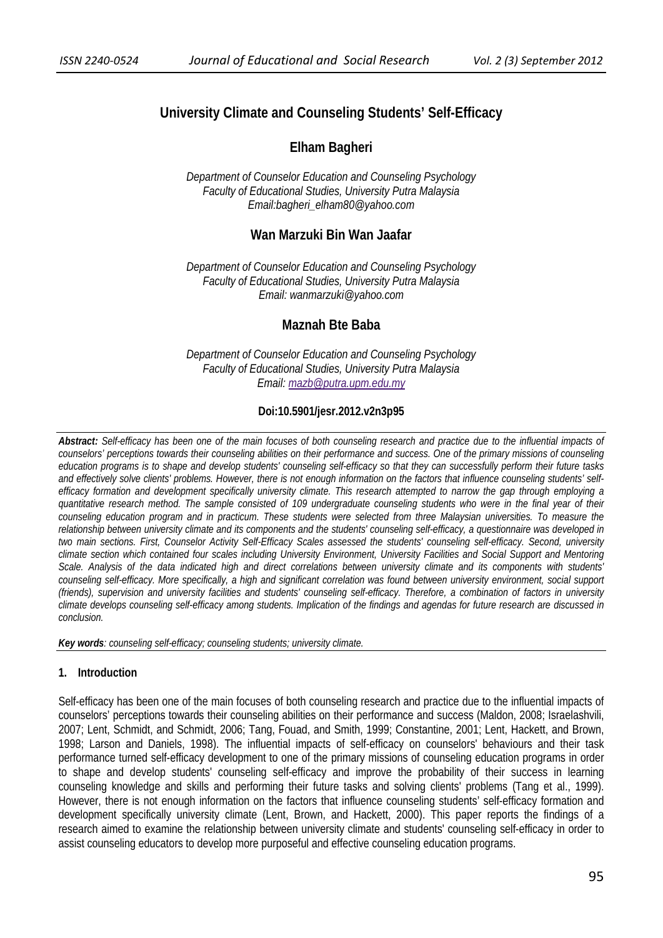# **University Climate and Counseling Students' Self-Efficacy**

# **Elham Bagheri**

*Department of Counselor Education and Counseling Psychology Faculty of Educational Studies, University Putra Malaysia Email:bagheri\_elham80@yahoo.com* 

# **Wan Marzuki Bin Wan Jaafar**

*Department of Counselor Education and Counseling Psychology Faculty of Educational Studies, University Putra Malaysia Email: wanmarzuki@yahoo.com* 

# **Maznah Bte Baba**

*Department of Counselor Education and Counseling Psychology Faculty of Educational Studies, University Putra Malaysia Email: mazb@putra.upm.edu.my*

# **Doi:10.5901/jesr.2012.v2n3p95**

*Abstract: Self-efficacy has been one of the main focuses of both counseling research and practice due to the influential impacts of counselors' perceptions towards their counseling abilities on their performance and success. One of the primary missions of counseling education programs is to shape and develop students' counseling self-efficacy so that they can successfully perform their future tasks and effectively solve clients' problems. However, there is not enough information on the factors that influence counseling students' selfefficacy formation and development specifically university climate. This research attempted to narrow the gap through employing a quantitative research method. The sample consisted of 109 undergraduate counseling students who were in the final year of their counseling education program and in practicum. These students were selected from three Malaysian universities. To measure the relationship between university climate and its components and the students' counseling self-efficacy, a questionnaire was developed in two main sections. First, Counselor Activity Self-Efficacy Scales assessed the students' counseling self-efficacy. Second, university climate section which contained four scales including University Environment, University Facilities and Social Support and Mentoring Scale. Analysis of the data indicated high and direct correlations between university climate and its components with students' counseling self-efficacy. More specifically, a high and significant correlation was found between university environment, social support (friends), supervision and university facilities and students' counseling self-efficacy. Therefore, a combination of factors in university climate develops counseling self-efficacy among students. Implication of the findings and agendas for future research are discussed in conclusion.* 

*Key words: counseling self-efficacy; counseling students; university climate.* 

# **1. Introduction**

Self-efficacy has been one of the main focuses of both counseling research and practice due to the influential impacts of counselors' perceptions towards their counseling abilities on their performance and success (Maldon, 2008; Israelashvili, 2007; Lent, Schmidt, and Schmidt, 2006; Tang, Fouad, and Smith, 1999; Constantine, 2001; Lent, Hackett, and Brown, 1998; Larson and Daniels, 1998). The influential impacts of self-efficacy on counselors' behaviours and their task performance turned self-efficacy development to one of the primary missions of counseling education programs in order to shape and develop students' counseling self-efficacy and improve the probability of their success in learning counseling knowledge and skills and performing their future tasks and solving clients' problems (Tang et al., 1999). However, there is not enough information on the factors that influence counseling students' self-efficacy formation and development specifically university climate (Lent, Brown, and Hackett, 2000). This paper reports the findings of a research aimed to examine the relationship between university climate and students' counseling self-efficacy in order to assist counseling educators to develop more purposeful and effective counseling education programs.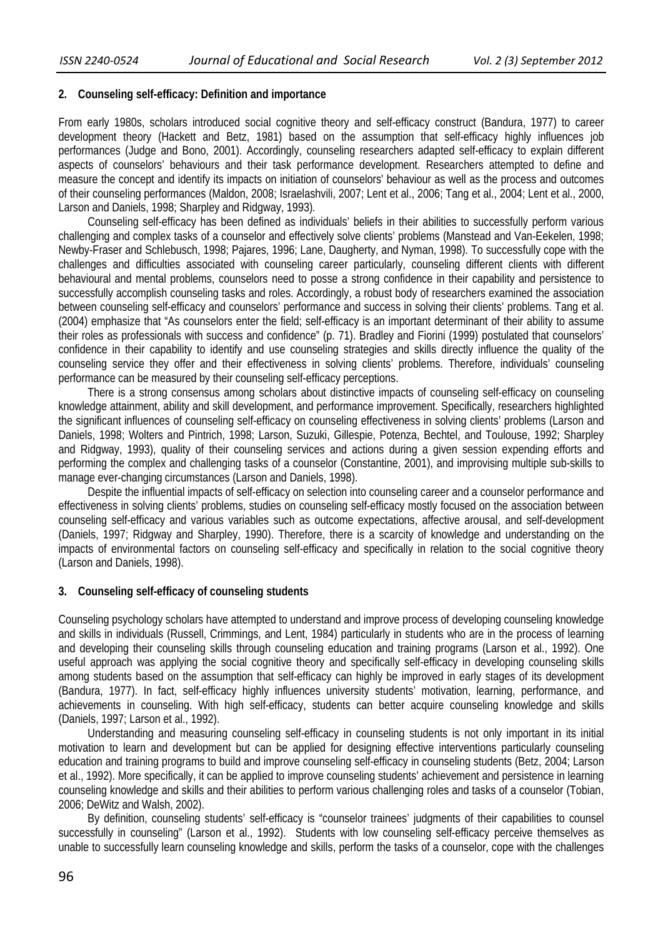### **2. Counseling self-efficacy: Definition and importance**

From early 1980s, scholars introduced social cognitive theory and self-efficacy construct (Bandura, 1977) to career development theory (Hackett and Betz, 1981) based on the assumption that self-efficacy highly influences job performances (Judge and Bono, 2001). Accordingly, counseling researchers adapted self-efficacy to explain different aspects of counselors' behaviours and their task performance development. Researchers attempted to define and measure the concept and identify its impacts on initiation of counselors' behaviour as well as the process and outcomes of their counseling performances (Maldon, 2008; Israelashvili, 2007; Lent et al., 2006; Tang et al., 2004; Lent et al., 2000, Larson and Daniels, 1998; Sharpley and Ridgway, 1993)*.*

Counseling self-efficacy has been defined as individuals' beliefs in their abilities to successfully perform various challenging and complex tasks of a counselor and effectively solve clients' problems (Manstead and Van-Eekelen, 1998; Newby-Fraser and Schlebusch, 1998; Pajares, 1996; Lane, Daugherty, and Nyman, 1998). To successfully cope with the challenges and difficulties associated with counseling career particularly, counseling different clients with different behavioural and mental problems, counselors need to posse a strong confidence in their capability and persistence to successfully accomplish counseling tasks and roles. Accordingly, a robust body of researchers examined the association between counseling self-efficacy and counselors' performance and success in solving their clients' problems. Tang et al. (2004) emphasize that "As counselors enter the field; self-efficacy is an important determinant of their ability to assume their roles as professionals with success and confidence" (p. 71). Bradley and Fiorini (1999) postulated that counselors' confidence in their capability to identify and use counseling strategies and skills directly influence the quality of the counseling service they offer and their effectiveness in solving clients' problems. Therefore, individuals' counseling performance can be measured by their counseling self-efficacy perceptions.

There is a strong consensus among scholars about distinctive impacts of counseling self-efficacy on counseling knowledge attainment, ability and skill development, and performance improvement. Specifically, researchers highlighted the significant influences of counseling self-efficacy on counseling effectiveness in solving clients' problems (Larson and Daniels, 1998; Wolters and Pintrich, 1998; Larson, Suzuki, Gillespie, Potenza, Bechtel, and Toulouse, 1992; Sharpley and Ridgway, 1993), quality of their counseling services and actions during a given session expending efforts and performing the complex and challenging tasks of a counselor (Constantine, 2001), and improvising multiple sub-skills to manage ever-changing circumstances (Larson and Daniels, 1998).

Despite the influential impacts of self-efficacy on selection into counseling career and a counselor performance and effectiveness in solving clients' problems, studies on counseling self-efficacy mostly focused on the association between counseling self-efficacy and various variables such as outcome expectations, affective arousal, and self-development (Daniels, 1997; Ridgway and Sharpley, 1990). Therefore, there is a scarcity of knowledge and understanding on the impacts of environmental factors on counseling self-efficacy and specifically in relation to the social cognitive theory (Larson and Daniels, 1998).

## **3. Counseling self-efficacy of counseling students**

Counseling psychology scholars have attempted to understand and improve process of developing counseling knowledge and skills in individuals (Russell, Crimmings, and Lent, 1984) particularly in students who are in the process of learning and developing their counseling skills through counseling education and training programs (Larson et al., 1992). One useful approach was applying the social cognitive theory and specifically self-efficacy in developing counseling skills among students based on the assumption that self-efficacy can highly be improved in early stages of its development (Bandura, 1977). In fact, self-efficacy highly influences university students' motivation, learning, performance, and achievements in counseling. With high self-efficacy, students can better acquire counseling knowledge and skills (Daniels, 1997; Larson et al., 1992).

Understanding and measuring counseling self-efficacy in counseling students is not only important in its initial motivation to learn and development but can be applied for designing effective interventions particularly counseling education and training programs to build and improve counseling self-efficacy in counseling students (Betz, 2004; Larson et al., 1992). More specifically, it can be applied to improve counseling students' achievement and persistence in learning counseling knowledge and skills and their abilities to perform various challenging roles and tasks of a counselor (Tobian, 2006; DeWitz and Walsh, 2002).

By definition, counseling students' self-efficacy is "counselor trainees' judgments of their capabilities to counsel successfully in counseling" (Larson et al., 1992). Students with low counseling self-efficacy perceive themselves as unable to successfully learn counseling knowledge and skills, perform the tasks of a counselor, cope with the challenges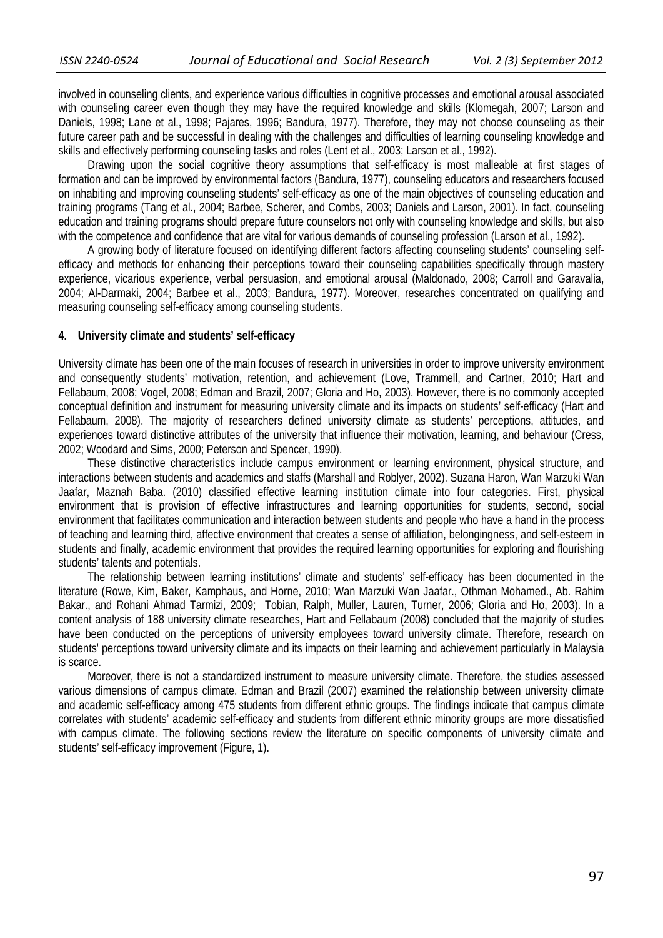involved in counseling clients, and experience various difficulties in cognitive processes and emotional arousal associated with counseling career even though they may have the required knowledge and skills (Klomegah, 2007; Larson and Daniels, 1998; Lane et al., 1998; Pajares, 1996; Bandura, 1977). Therefore, they may not choose counseling as their future career path and be successful in dealing with the challenges and difficulties of learning counseling knowledge and skills and effectively performing counseling tasks and roles (Lent et al., 2003; Larson et al., 1992).

Drawing upon the social cognitive theory assumptions that self-efficacy is most malleable at first stages of formation and can be improved by environmental factors (Bandura, 1977), counseling educators and researchers focused on inhabiting and improving counseling students' self-efficacy as one of the main objectives of counseling education and training programs (Tang et al., 2004; Barbee, Scherer, and Combs, 2003; Daniels and Larson, 2001). In fact, counseling education and training programs should prepare future counselors not only with counseling knowledge and skills, but also with the competence and confidence that are vital for various demands of counseling profession (Larson et al., 1992).

A growing body of literature focused on identifying different factors affecting counseling students' counseling selfefficacy and methods for enhancing their perceptions toward their counseling capabilities specifically through mastery experience, vicarious experience, verbal persuasion, and emotional arousal (Maldonado, 2008; Carroll and Garavalia, 2004; Al-Darmaki, 2004; Barbee et al., 2003; Bandura, 1977). Moreover, researches concentrated on qualifying and measuring counseling self-efficacy among counseling students.

#### **4. University climate and students' self-efficacy**

University climate has been one of the main focuses of research in universities in order to improve university environment and consequently students' motivation, retention, and achievement (Love, Trammell, and Cartner, 2010; Hart and Fellabaum, 2008; Vogel, 2008; Edman and Brazil, 2007; Gloria and Ho, 2003). However, there is no commonly accepted conceptual definition and instrument for measuring university climate and its impacts on students' self-efficacy (Hart and Fellabaum, 2008). The majority of researchers defined university climate as students' perceptions, attitudes, and experiences toward distinctive attributes of the university that influence their motivation, learning, and behaviour (Cress, 2002; Woodard and Sims, 2000; Peterson and Spencer, 1990).

These distinctive characteristics include campus environment or learning environment, physical structure, and interactions between students and academics and staffs (Marshall and Roblyer, 2002). Suzana Haron, Wan Marzuki Wan Jaafar, Maznah Baba. (2010) classified effective learning institution climate into four categories. First, physical environment that is provision of effective infrastructures and learning opportunities for students, second, social environment that facilitates communication and interaction between students and people who have a hand in the process of teaching and learning third, affective environment that creates a sense of affiliation, belongingness, and self-esteem in students and finally, academic environment that provides the required learning opportunities for exploring and flourishing students' talents and potentials.

The relationship between learning institutions' climate and students' self-efficacy has been documented in the literature (Rowe, Kim, Baker, Kamphaus, and Horne, 2010; Wan Marzuki Wan Jaafar., Othman Mohamed., Ab. Rahim Bakar., and Rohani Ahmad Tarmizi, 2009; Tobian, Ralph, Muller, Lauren, Turner, 2006; Gloria and Ho, 2003). In a content analysis of 188 university climate researches, Hart and Fellabaum (2008) concluded that the majority of studies have been conducted on the perceptions of university employees toward university climate. Therefore, research on students' perceptions toward university climate and its impacts on their learning and achievement particularly in Malaysia is scarce.

Moreover, there is not a standardized instrument to measure university climate. Therefore, the studies assessed various dimensions of campus climate. Edman and Brazil (2007) examined the relationship between university climate and academic self-efficacy among 475 students from different ethnic groups. The findings indicate that campus climate correlates with students' academic self-efficacy and students from different ethnic minority groups are more dissatisfied with campus climate. The following sections review the literature on specific components of university climate and students' self-efficacy improvement (Figure, 1).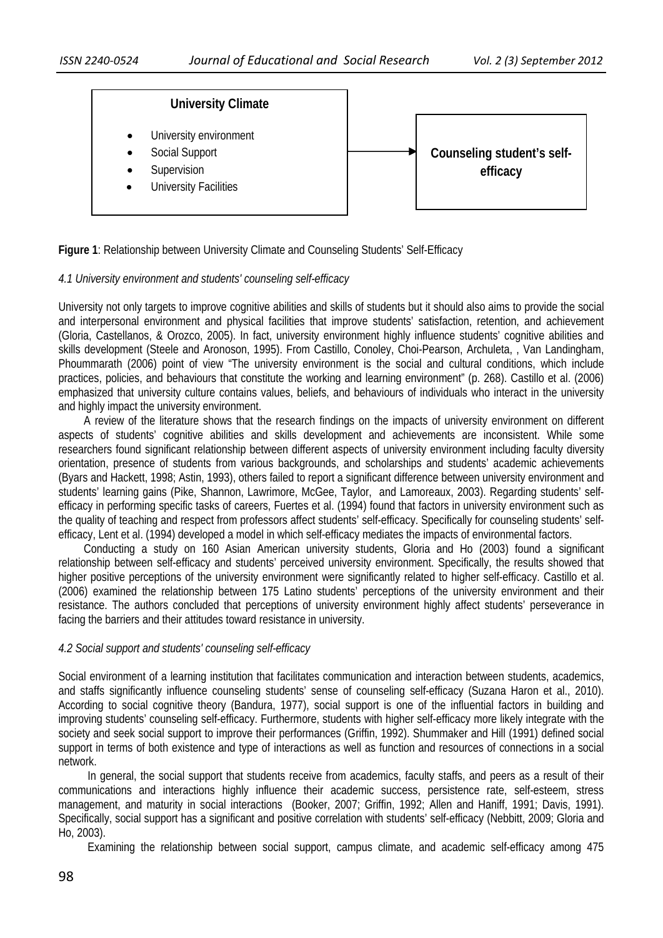

**Figure 1**: Relationship between University Climate and Counseling Students' Self-Efficacy

### *4.1 University environment and students' counseling self-efficacy*

University not only targets to improve cognitive abilities and skills of students but it should also aims to provide the social and interpersonal environment and physical facilities that improve students' satisfaction, retention, and achievement (Gloria, Castellanos, & Orozco, 2005). In fact, university environment highly influence students' cognitive abilities and skills development (Steele and Aronoson, 1995). From Castillo, Conoley, Choi-Pearson, Archuleta, , Van Landingham, Phoummarath (2006) point of view "The university environment is the social and cultural conditions, which include practices, policies, and behaviours that constitute the working and learning environment" (p. 268). Castillo et al. (2006) emphasized that university culture contains values, beliefs, and behaviours of individuals who interact in the university and highly impact the university environment.

 A review of the literature shows that the research findings on the impacts of university environment on different aspects of students' cognitive abilities and skills development and achievements are inconsistent. While some researchers found significant relationship between different aspects of university environment including faculty diversity orientation, presence of students from various backgrounds, and scholarships and students' academic achievements (Byars and Hackett, 1998; Astin, 1993), others failed to report a significant difference between university environment and students' learning gains (Pike, Shannon, Lawrimore, McGee, Taylor, and Lamoreaux, 2003). Regarding students' selfefficacy in performing specific tasks of careers, Fuertes et al. (1994) found that factors in university environment such as the quality of teaching and respect from professors affect students' self-efficacy. Specifically for counseling students' selfefficacy, Lent et al. (1994) developed a model in which self-efficacy mediates the impacts of environmental factors.

 Conducting a study on 160 Asian American university students, Gloria and Ho (2003) found a significant relationship between self-efficacy and students' perceived university environment. Specifically, the results showed that higher positive perceptions of the university environment were significantly related to higher self-efficacy. Castillo et al. (2006) examined the relationship between 175 Latino students' perceptions of the university environment and their resistance. The authors concluded that perceptions of university environment highly affect students' perseverance in facing the barriers and their attitudes toward resistance in university.

### *4.2 Social support and students' counseling self-efficacy*

Social environment of a learning institution that facilitates communication and interaction between students, academics, and staffs significantly influence counseling students' sense of counseling self-efficacy (Suzana Haron et al., 2010). According to social cognitive theory (Bandura, 1977), social support is one of the influential factors in building and improving students' counseling self-efficacy. Furthermore, students with higher self-efficacy more likely integrate with the society and seek social support to improve their performances (Griffin, 1992). Shummaker and Hill (1991) defined social support in terms of both existence and type of interactions as well as function and resources of connections in a social network.

In general, the social support that students receive from academics, faculty staffs, and peers as a result of their communications and interactions highly influence their academic success, persistence rate, self-esteem, stress management, and maturity in social interactions (Booker, 2007; Griffin, 1992; Allen and Haniff, 1991; Davis, 1991). Specifically, social support has a significant and positive correlation with students' self-efficacy (Nebbitt, 2009; Gloria and Ho, 2003).

Examining the relationship between social support, campus climate, and academic self-efficacy among 475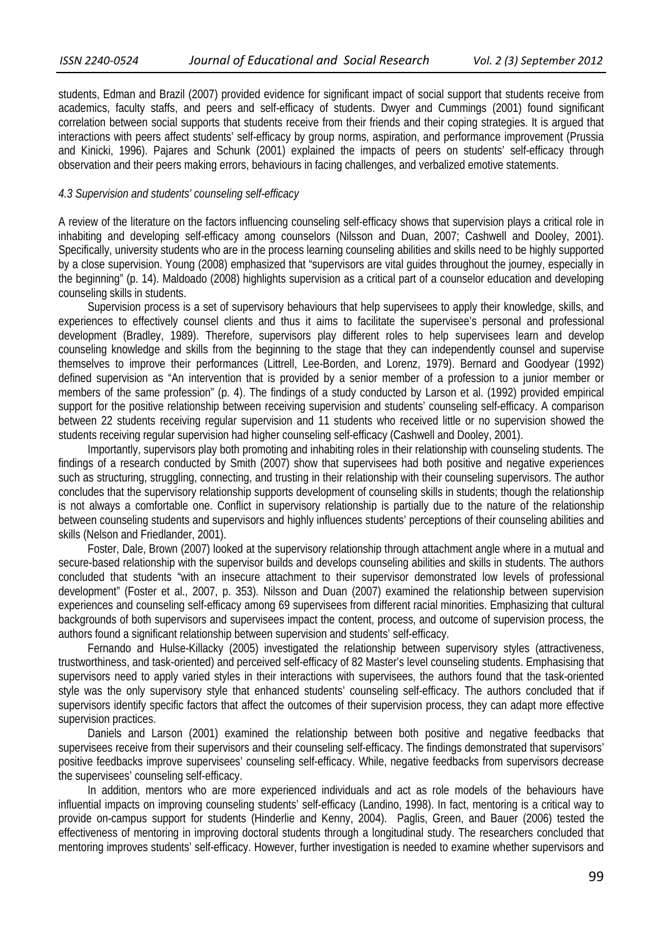students, Edman and Brazil (2007) provided evidence for significant impact of social support that students receive from academics, faculty staffs, and peers and self-efficacy of students. Dwyer and Cummings (2001) found significant correlation between social supports that students receive from their friends and their coping strategies. It is argued that interactions with peers affect students' self-efficacy by group norms, aspiration, and performance improvement (Prussia and Kinicki, 1996). Pajares and Schunk (2001) explained the impacts of peers on students' self-efficacy through observation and their peers making errors, behaviours in facing challenges, and verbalized emotive statements.

## *4.3 Supervision and students' counseling self-efficacy*

A review of the literature on the factors influencing counseling self-efficacy shows that supervision plays a critical role in inhabiting and developing self-efficacy among counselors (Nilsson and Duan, 2007; Cashwell and Dooley, 2001). Specifically, university students who are in the process learning counseling abilities and skills need to be highly supported by a close supervision. Young (2008) emphasized that "supervisors are vital guides throughout the journey, especially in the beginning" (p. 14). Maldoado (2008) highlights supervision as a critical part of a counselor education and developing counseling skills in students.

Supervision process is a set of supervisory behaviours that help supervisees to apply their knowledge, skills, and experiences to effectively counsel clients and thus it aims to facilitate the supervisee's personal and professional development (Bradley, 1989). Therefore, supervisors play different roles to help supervisees learn and develop counseling knowledge and skills from the beginning to the stage that they can independently counsel and supervise themselves to improve their performances (Littrell, Lee-Borden, and Lorenz, 1979). Bernard and Goodyear (1992) defined supervision as "An intervention that is provided by a senior member of a profession to a junior member or members of the same profession" (p. 4). The findings of a study conducted by Larson et al. (1992) provided empirical support for the positive relationship between receiving supervision and students' counseling self-efficacy. A comparison between 22 students receiving regular supervision and 11 students who received little or no supervision showed the students receiving regular supervision had higher counseling self-efficacy (Cashwell and Dooley, 2001).

Importantly, supervisors play both promoting and inhabiting roles in their relationship with counseling students. The findings of a research conducted by Smith (2007) show that supervisees had both positive and negative experiences such as structuring, struggling, connecting, and trusting in their relationship with their counseling supervisors. The author concludes that the supervisory relationship supports development of counseling skills in students; though the relationship is not always a comfortable one. Conflict in supervisory relationship is partially due to the nature of the relationship between counseling students and supervisors and highly influences students' perceptions of their counseling abilities and skills (Nelson and Friedlander, 2001).

Foster, Dale, Brown (2007) looked at the supervisory relationship through attachment angle where in a mutual and secure-based relationship with the supervisor builds and develops counseling abilities and skills in students. The authors concluded that students "with an insecure attachment to their supervisor demonstrated low levels of professional development" (Foster et al., 2007, p. 353). Nilsson and Duan (2007) examined the relationship between supervision experiences and counseling self-efficacy among 69 supervisees from different racial minorities. Emphasizing that cultural backgrounds of both supervisors and supervisees impact the content, process, and outcome of supervision process, the authors found a significant relationship between supervision and students' self-efficacy.

Fernando and Hulse-Killacky (2005) investigated the relationship between supervisory styles (attractiveness, trustworthiness, and task-oriented) and perceived self-efficacy of 82 Master's level counseling students. Emphasising that supervisors need to apply varied styles in their interactions with supervisees, the authors found that the task-oriented style was the only supervisory style that enhanced students' counseling self-efficacy. The authors concluded that if supervisors identify specific factors that affect the outcomes of their supervision process, they can adapt more effective supervision practices.

Daniels and Larson (2001) examined the relationship between both positive and negative feedbacks that supervisees receive from their supervisors and their counseling self-efficacy. The findings demonstrated that supervisors' positive feedbacks improve supervisees' counseling self-efficacy. While, negative feedbacks from supervisors decrease the supervisees' counseling self-efficacy.

In addition, mentors who are more experienced individuals and act as role models of the behaviours have influential impacts on improving counseling students' self-efficacy (Landino, 1998). In fact, mentoring is a critical way to provide on-campus support for students (Hinderlie and Kenny, 2004). Paglis, Green, and Bauer (2006) tested the effectiveness of mentoring in improving doctoral students through a longitudinal study. The researchers concluded that mentoring improves students' self-efficacy. However, further investigation is needed to examine whether supervisors and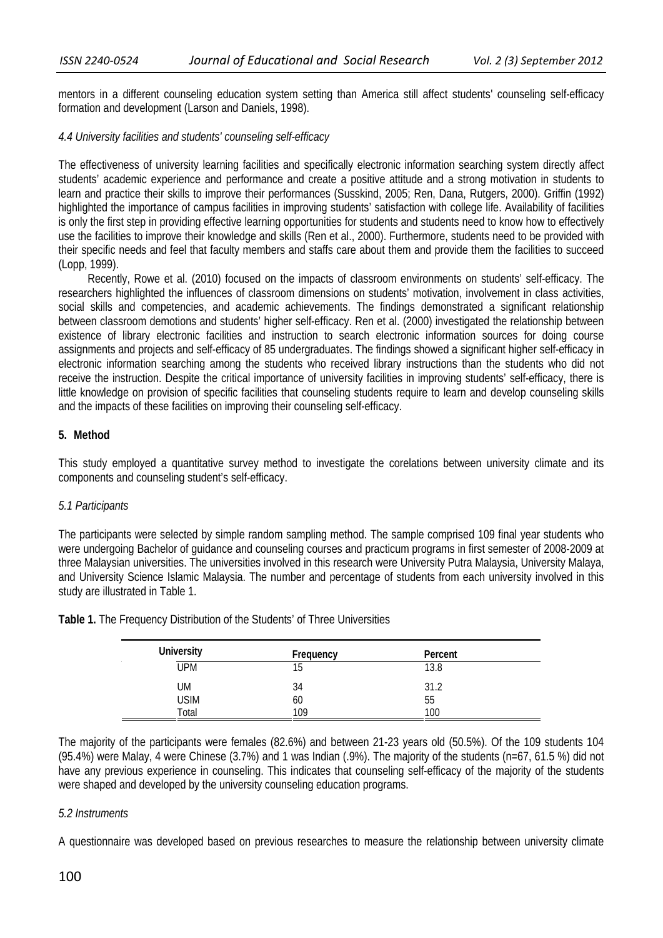mentors in a different counseling education system setting than America still affect students' counseling self-efficacy formation and development (Larson and Daniels, 1998).

### *4.4 University facilities and students' counseling self-efficacy*

The effectiveness of university learning facilities and specifically electronic information searching system directly affect students' academic experience and performance and create a positive attitude and a strong motivation in students to learn and practice their skills to improve their performances (Susskind, 2005; Ren, Dana, Rutgers, 2000). Griffin (1992) highlighted the importance of campus facilities in improving students' satisfaction with college life. Availability of facilities is only the first step in providing effective learning opportunities for students and students need to know how to effectively use the facilities to improve their knowledge and skills (Ren et al., 2000). Furthermore, students need to be provided with their specific needs and feel that faculty members and staffs care about them and provide them the facilities to succeed (Lopp, 1999).

Recently, Rowe et al. (2010) focused on the impacts of classroom environments on students' self-efficacy. The researchers highlighted the influences of classroom dimensions on students' motivation, involvement in class activities, social skills and competencies, and academic achievements. The findings demonstrated a significant relationship between classroom demotions and students' higher self-efficacy. Ren et al. (2000) investigated the relationship between existence of library electronic facilities and instruction to search electronic information sources for doing course assignments and projects and self-efficacy of 85 undergraduates. The findings showed a significant higher self-efficacy in electronic information searching among the students who received library instructions than the students who did not receive the instruction. Despite the critical importance of university facilities in improving students' self-efficacy, there is little knowledge on provision of specific facilities that counseling students require to learn and develop counseling skills and the impacts of these facilities on improving their counseling self-efficacy.

## **5. Method**

This study employed a quantitative survey method to investigate the corelations between university climate and its components and counseling student's self-efficacy.

### *5.1 Participants*

The participants were selected by simple random sampling method. The sample comprised 109 final year students who were undergoing Bachelor of guidance and counseling courses and practicum programs in first semester of 2008-2009 at three Malaysian universities. The universities involved in this research were University Putra Malaysia, University Malaya, and University Science Islamic Malaysia. The number and percentage of students from each university involved in this study are illustrated in Table 1.

| <b>University</b> | Frequency | Percent |  |
|-------------------|-----------|---------|--|
| <b>UPM</b>        | 15        | 13.8    |  |
| <b>UM</b>         | 34        | 31.2    |  |
| <b>USIM</b>       | 60        | 55      |  |
| Total             | 109       | 100     |  |

**Table 1.** The Frequency Distribution of the Students' of Three Universities

The majority of the participants were females (82.6%) and between 21-23 years old (50.5%). Of the 109 students 104 (95.4%) were Malay, 4 were Chinese (3.7%) and 1 was Indian (.9%). The majority of the students (n=67, 61.5 %) did not have any previous experience in counseling. This indicates that counseling self-efficacy of the majority of the students were shaped and developed by the university counseling education programs.

# *5.2 Instruments*

A questionnaire was developed based on previous researches to measure the relationship between university climate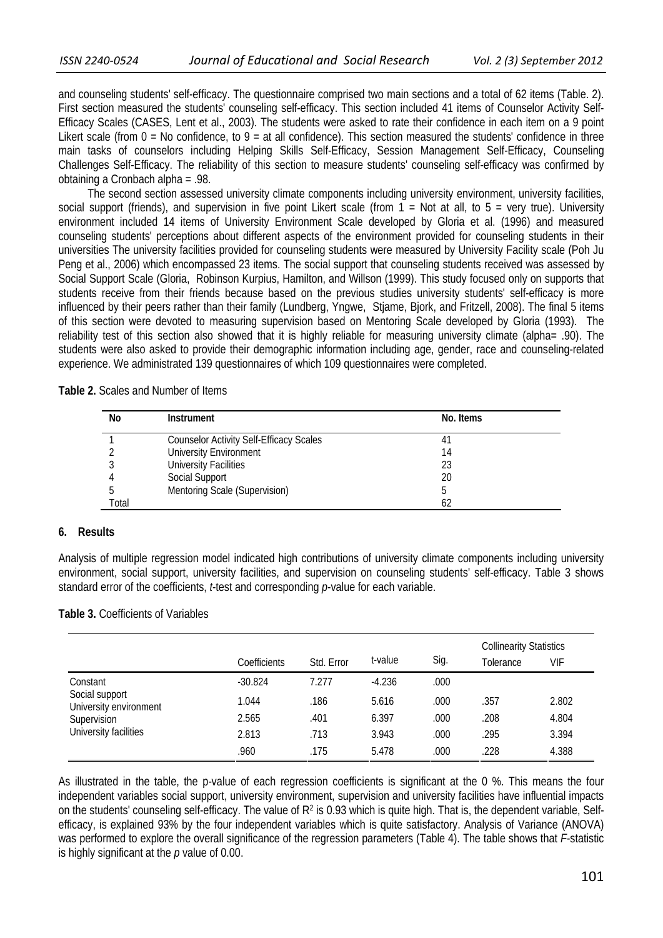and counseling students' self-efficacy. The questionnaire comprised two main sections and a total of 62 items (Table. 2). First section measured the students' counseling self-efficacy. This section included 41 items of Counselor Activity Self-Efficacy Scales (CASES, Lent et al., 2003). The students were asked to rate their confidence in each item on a 9 point Likert scale (from  $0 = No$  confidence, to  $9 = at$  all confidence). This section measured the students' confidence in three main tasks of counselors including Helping Skills Self-Efficacy, Session Management Self-Efficacy, Counseling Challenges Self-Efficacy. The reliability of this section to measure students' counseling self-efficacy was confirmed by obtaining a Cronbach alpha = .98.

The second section assessed university climate components including university environment, university facilities, social support (friends), and supervision in five point Likert scale (from  $1 =$  Not at all, to  $5 =$  very true). University environment included 14 items of University Environment Scale developed by Gloria et al. (1996) and measured counseling students' perceptions about different aspects of the environment provided for counseling students in their universities The university facilities provided for counseling students were measured by University Facility scale (Poh Ju Peng et al., 2006) which encompassed 23 items. The social support that counseling students received was assessed by Social Support Scale (Gloria, Robinson Kurpius, Hamilton, and Willson (1999). This study focused only on supports that students receive from their friends because based on the previous studies university students' self-efficacy is more influenced by their peers rather than their family (Lundberg, Yngwe, Stjame, Bjork, and Fritzell, 2008). The final 5 items of this section were devoted to measuring supervision based on Mentoring Scale developed by Gloria (1993). The reliability test of this section also showed that it is highly reliable for measuring university climate (alpha= .90). The students were also asked to provide their demographic information including age, gender, race and counseling-related experience. We administrated 139 questionnaires of which 109 questionnaires were completed.

| Table 2. Scales and Number of Items |
|-------------------------------------|
|-------------------------------------|

| No    | <b>Instrument</b>                              | No. Items |  |
|-------|------------------------------------------------|-----------|--|
|       | <b>Counselor Activity Self-Efficacy Scales</b> |           |  |
|       | University Environment                         | 14        |  |
|       | <b>University Facilities</b>                   | 23        |  |
|       | Social Support                                 | 20        |  |
|       | Mentoring Scale (Supervision)                  |           |  |
| Total |                                                | 62        |  |

#### **6. Results**

Analysis of multiple regression model indicated high contributions of university climate components including university environment, social support, university facilities, and supervision on counseling students' self-efficacy. Table 3 shows standard error of the coefficients, *t*-test and corresponding *p*-value for each variable.

#### **Table 3.** Coefficients of Variables

|                                                                                              |              |            |          |      | <b>Collinearity Statistics</b> |       |
|----------------------------------------------------------------------------------------------|--------------|------------|----------|------|--------------------------------|-------|
|                                                                                              | Coefficients | Std. Error | t-value  | Sig. | Tolerance                      | VIF   |
| Constant<br>Social support<br>University environment<br>Supervision<br>University facilities | $-30.824$    | 7.277      | $-4.236$ | .000 |                                |       |
|                                                                                              | 1.044        | .186       | 5.616    | .000 | .357                           | 2.802 |
|                                                                                              | 2.565        | .401       | 6.397    | .000 | .208                           | 4.804 |
|                                                                                              | 2.813        | .713       | 3.943    | .000 | .295                           | 3.394 |
|                                                                                              | .960         | .175       | 5.478    | .000 | .228                           | 4.388 |

As illustrated in the table, the p-value of each regression coefficients is significant at the 0 %. This means the four independent variables social support, university environment, supervision and university facilities have influential impacts on the students' counseling self-efficacy. The value of  $R^2$  is 0.93 which is quite high. That is, the dependent variable, Selfefficacy, is explained 93% by the four independent variables which is quite satisfactory. Analysis of Variance (ANOVA) was performed to explore the overall significance of the regression parameters (Table 4). The table shows that *F*-statistic is highly significant at the *p* value of 0.00.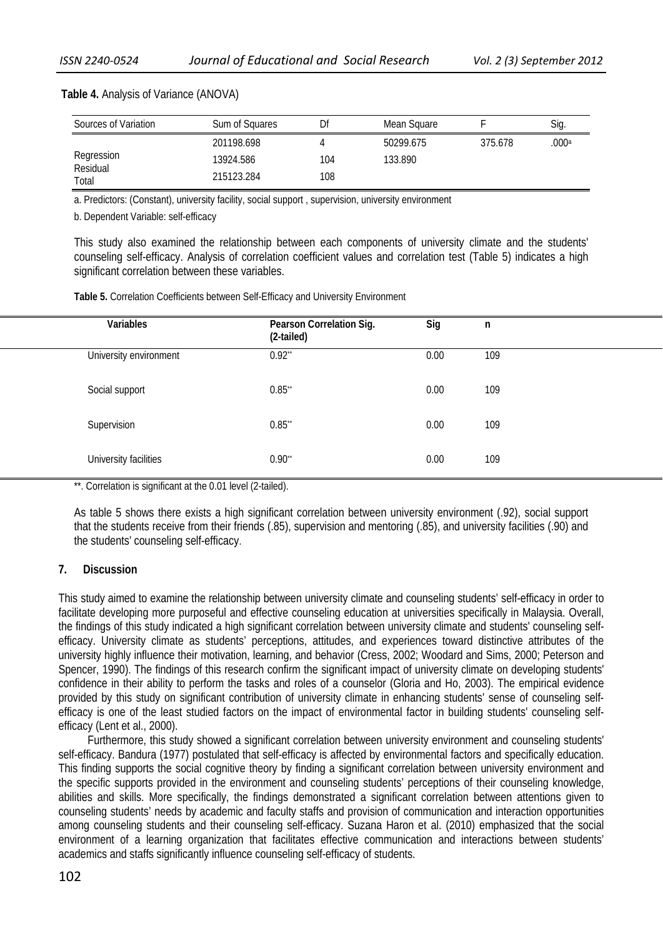| Sources of Variation | Sum of Squares | Df  | Mean Square |         | Sig.  |
|----------------------|----------------|-----|-------------|---------|-------|
|                      | 201198.698     |     | 50299.675   | 375.678 | .000a |
| Regression           | 13924.586      | 104 | 133.890     |         |       |
| Residual<br>Total    | 215123.284     | 108 |             |         |       |

#### **Table 4.** Analysis of Variance (ANOVA)

a. Predictors: (Constant), university facility, social support , supervision, university environment

b. Dependent Variable: self-efficacy

This study also examined the relationship between each components of university climate and the students' counseling self-efficacy. Analysis of correlation coefficient values and correlation test (Table 5) indicates a high significant correlation between these variables.

**Table 5.** Correlation Coefficients between Self-Efficacy and University Environment

| Variables              | Pearson Correlation Sig.<br>(2-tailed) | Sig  | n   |
|------------------------|----------------------------------------|------|-----|
| University environment | $0.92$ **                              | 0.00 | 109 |
| Social support         | $0.85$ **                              | 0.00 | 109 |
| Supervision            | $0.85$ **                              | 0.00 | 109 |
| University facilities  | $0.90^{**}$                            | 0.00 | 109 |

\*\*. Correlation is significant at the 0.01 level (2-tailed).

As table 5 shows there exists a high significant correlation between university environment (.92), social support that the students receive from their friends (.85), supervision and mentoring (.85), and university facilities (.90) and the students' counseling self-efficacy.

### **7. Discussion**

This study aimed to examine the relationship between university climate and counseling students' self-efficacy in order to facilitate developing more purposeful and effective counseling education at universities specifically in Malaysia. Overall, the findings of this study indicated a high significant correlation between university climate and students' counseling selfefficacy. University climate as students' perceptions, attitudes, and experiences toward distinctive attributes of the university highly influence their motivation, learning, and behavior (Cress, 2002; Woodard and Sims, 2000; Peterson and Spencer, 1990). The findings of this research confirm the significant impact of university climate on developing students' confidence in their ability to perform the tasks and roles of a counselor (Gloria and Ho, 2003). The empirical evidence provided by this study on significant contribution of university climate in enhancing students' sense of counseling selfefficacy is one of the least studied factors on the impact of environmental factor in building students' counseling selfefficacy (Lent et al., 2000).

Furthermore, this study showed a significant correlation between university environment and counseling students' self-efficacy. Bandura (1977) postulated that self-efficacy is affected by environmental factors and specifically education. This finding supports the social cognitive theory by finding a significant correlation between university environment and the specific supports provided in the environment and counseling students' perceptions of their counseling knowledge, abilities and skills. More specifically, the findings demonstrated a significant correlation between attentions given to counseling students' needs by academic and faculty staffs and provision of communication and interaction opportunities among counseling students and their counseling self-efficacy. Suzana Haron et al. (2010) emphasized that the social environment of a learning organization that facilitates effective communication and interactions between students' academics and staffs significantly influence counseling self-efficacy of students.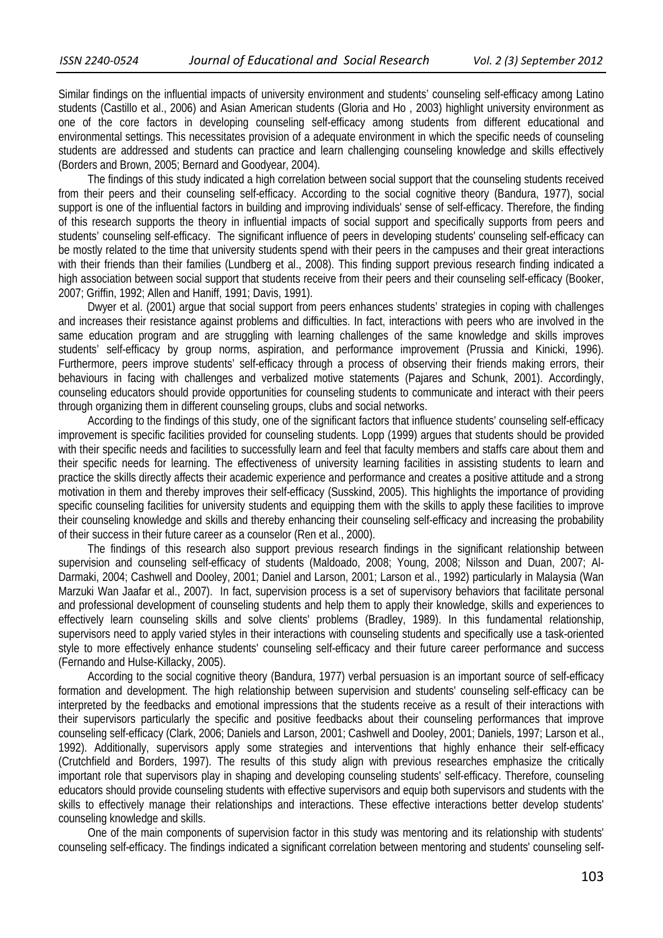Similar findings on the influential impacts of university environment and students' counseling self-efficacy among Latino students (Castillo et al., 2006) and Asian American students (Gloria and Ho , 2003) highlight university environment as one of the core factors in developing counseling self-efficacy among students from different educational and environmental settings. This necessitates provision of a adequate environment in which the specific needs of counseling students are addressed and students can practice and learn challenging counseling knowledge and skills effectively (Borders and Brown, 2005; Bernard and Goodyear, 2004).

The findings of this study indicated a high correlation between social support that the counseling students received from their peers and their counseling self-efficacy. According to the social cognitive theory (Bandura, 1977), social support is one of the influential factors in building and improving individuals' sense of self-efficacy. Therefore, the finding of this research supports the theory in influential impacts of social support and specifically supports from peers and students' counseling self-efficacy. The significant influence of peers in developing students' counseling self-efficacy can be mostly related to the time that university students spend with their peers in the campuses and their great interactions with their friends than their families (Lundberg et al., 2008). This finding support previous research finding indicated a high association between social support that students receive from their peers and their counseling self-efficacy (Booker, 2007; Griffin, 1992; Allen and Haniff, 1991; Davis, 1991).

Dwyer et al. (2001) argue that social support from peers enhances students' strategies in coping with challenges and increases their resistance against problems and difficulties. In fact, interactions with peers who are involved in the same education program and are struggling with learning challenges of the same knowledge and skills improves students' self-efficacy by group norms, aspiration, and performance improvement (Prussia and Kinicki, 1996). Furthermore, peers improve students' self-efficacy through a process of observing their friends making errors, their behaviours in facing with challenges and verbalized motive statements (Pajares and Schunk, 2001). Accordingly, counseling educators should provide opportunities for counseling students to communicate and interact with their peers through organizing them in different counseling groups, clubs and social networks.

According to the findings of this study, one of the significant factors that influence students' counseling self-efficacy improvement is specific facilities provided for counseling students. Lopp (1999) argues that students should be provided with their specific needs and facilities to successfully learn and feel that faculty members and staffs care about them and their specific needs for learning. The effectiveness of university learning facilities in assisting students to learn and practice the skills directly affects their academic experience and performance and creates a positive attitude and a strong motivation in them and thereby improves their self-efficacy (Susskind, 2005). This highlights the importance of providing specific counseling facilities for university students and equipping them with the skills to apply these facilities to improve their counseling knowledge and skills and thereby enhancing their counseling self-efficacy and increasing the probability of their success in their future career as a counselor (Ren et al., 2000).

The findings of this research also support previous research findings in the significant relationship between supervision and counseling self-efficacy of students (Maldoado, 2008; Young, 2008; Nilsson and Duan, 2007; Al-Darmaki, 2004; Cashwell and Dooley, 2001; Daniel and Larson, 2001; Larson et al., 1992) particularly in Malaysia (Wan Marzuki Wan Jaafar et al., 2007). In fact, supervision process is a set of supervisory behaviors that facilitate personal and professional development of counseling students and help them to apply their knowledge, skills and experiences to effectively learn counseling skills and solve clients' problems (Bradley, 1989). In this fundamental relationship, supervisors need to apply varied styles in their interactions with counseling students and specifically use a task-oriented style to more effectively enhance students' counseling self-efficacy and their future career performance and success (Fernando and Hulse-Killacky, 2005).

According to the social cognitive theory (Bandura, 1977) verbal persuasion is an important source of self-efficacy formation and development. The high relationship between supervision and students' counseling self-efficacy can be interpreted by the feedbacks and emotional impressions that the students receive as a result of their interactions with their supervisors particularly the specific and positive feedbacks about their counseling performances that improve counseling self-efficacy (Clark, 2006; Daniels and Larson, 2001; Cashwell and Dooley, 2001; Daniels, 1997; Larson et al., 1992). Additionally, supervisors apply some strategies and interventions that highly enhance their self-efficacy (Crutchfield and Borders, 1997). The results of this study align with previous researches emphasize the critically important role that supervisors play in shaping and developing counseling students' self-efficacy. Therefore, counseling educators should provide counseling students with effective supervisors and equip both supervisors and students with the skills to effectively manage their relationships and interactions. These effective interactions better develop students' counseling knowledge and skills.

One of the main components of supervision factor in this study was mentoring and its relationship with students' counseling self-efficacy. The findings indicated a significant correlation between mentoring and students' counseling self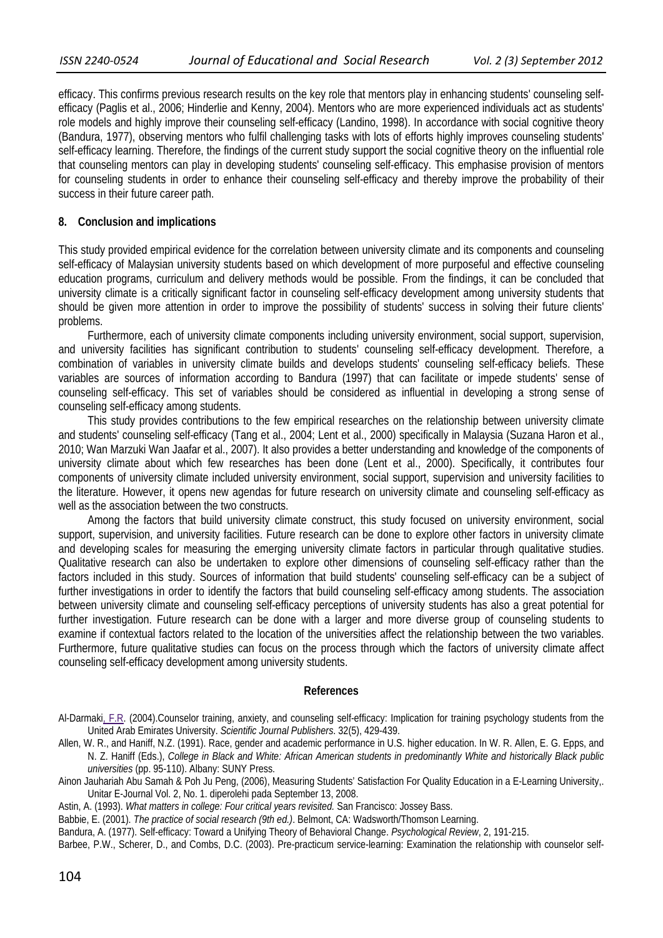efficacy. This confirms previous research results on the key role that mentors play in enhancing students' counseling selfefficacy (Paglis et al., 2006; Hinderlie and Kenny, 2004). Mentors who are more experienced individuals act as students' role models and highly improve their counseling self-efficacy (Landino, 1998). In accordance with social cognitive theory (Bandura, 1977), observing mentors who fulfil challenging tasks with lots of efforts highly improves counseling students' self-efficacy learning. Therefore, the findings of the current study support the social cognitive theory on the influential role that counseling mentors can play in developing students' counseling self-efficacy. This emphasise provision of mentors for counseling students in order to enhance their counseling self-efficacy and thereby improve the probability of their success in their future career path.

### **8. Conclusion and implications**

This study provided empirical evidence for the correlation between university climate and its components and counseling self-efficacy of Malaysian university students based on which development of more purposeful and effective counseling education programs, curriculum and delivery methods would be possible. From the findings, it can be concluded that university climate is a critically significant factor in counseling self-efficacy development among university students that should be given more attention in order to improve the possibility of students' success in solving their future clients' problems.

Furthermore, each of university climate components including university environment, social support, supervision, and university facilities has significant contribution to students' counseling self-efficacy development. Therefore, a combination of variables in university climate builds and develops students' counseling self-efficacy beliefs. These variables are sources of information according to Bandura (1997) that can facilitate or impede students' sense of counseling self-efficacy. This set of variables should be considered as influential in developing a strong sense of counseling self-efficacy among students.

This study provides contributions to the few empirical researches on the relationship between university climate and students' counseling self-efficacy (Tang et al., 2004; Lent et al., 2000) specifically in Malaysia (Suzana Haron et al., 2010; Wan Marzuki Wan Jaafar et al., 2007). It also provides a better understanding and knowledge of the components of university climate about which few researches has been done (Lent et al., 2000). Specifically, it contributes four components of university climate included university environment, social support, supervision and university facilities to the literature. However, it opens new agendas for future research on university climate and counseling self-efficacy as well as the association between the two constructs.

Among the factors that build university climate construct, this study focused on university environment, social support, supervision, and university facilities. Future research can be done to explore other factors in university climate and developing scales for measuring the emerging university climate factors in particular through qualitative studies. Qualitative research can also be undertaken to explore other dimensions of counseling self-efficacy rather than the factors included in this study. Sources of information that build students' counseling self-efficacy can be a subject of further investigations in order to identify the factors that build counseling self-efficacy among students. The association between university climate and counseling self-efficacy perceptions of university students has also a great potential for further investigation. Future research can be done with a larger and more diverse group of counseling students to examine if contextual factors related to the location of the universities affect the relationship between the two variables. Furthermore, future qualitative studies can focus on the process through which the factors of university climate affect counseling self-efficacy development among university students.

#### **References**

- Al-Darmaki, F.R. (2004).Counselor training, anxiety, and counseling self-efficacy: Implication for training psychology students from the United Arab Emirates University. *Scientific Journal Publishers*. 32(5), 429-439.
- Allen, W. R., and Haniff, N.Z. (1991). Race, gender and academic performance in U.S. higher education. In W. R. Allen, E. G. Epps, and N. Z. Haniff (Eds.), *College in Black and White: African American students in predominantly White and historically Black public universities* (pp. 95-110). Albany: SUNY Press.
- Ainon Jauhariah Abu Samah & Poh Ju Peng, (2006), Measuring Students' Satisfaction For Quality Education in a E-Learning University,. Unitar E-Journal Vol. 2, No. 1. diperolehi pada September 13, 2008.
- Astin, A. (1993). *What matters in college: Four critical years revisited.* San Francisco: Jossey Bass.
- Babbie, E. (2001). *The practice of social research (9th ed.)*. Belmont, CA: Wadsworth/Thomson Learning.
- Bandura, A. (1977). Self-efficacy: Toward a Unifying Theory of Behavioral Change. *Psychological Review*, 2, 191-215.
- Barbee, P.W., Scherer, D., and Combs, D.C. (2003). Pre-practicum service-learning: Examination the relationship with counselor self-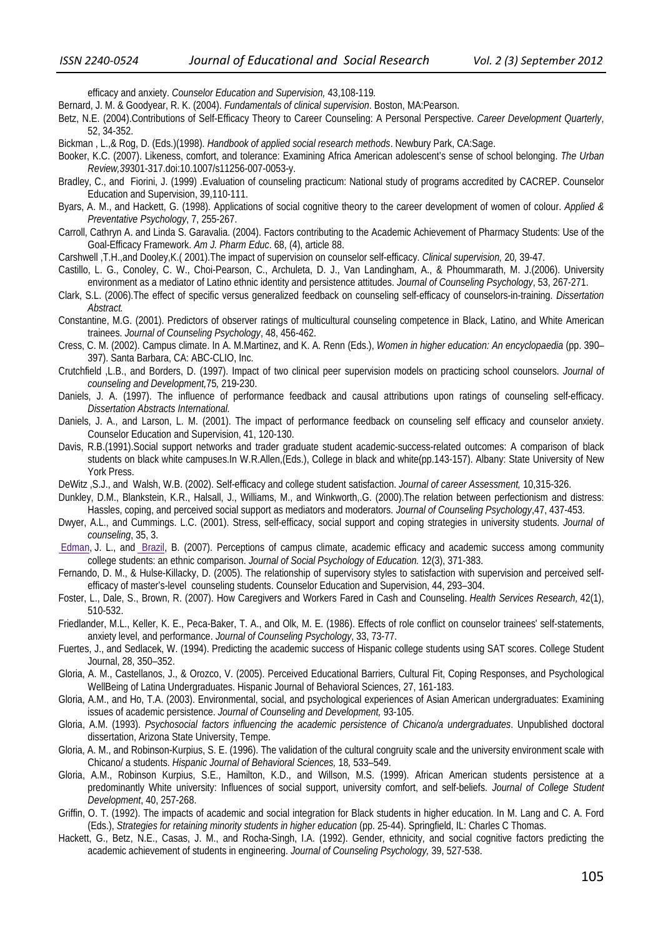efficacy and anxiety. *Counselor Education and Supervision,* 43,108-119*.* 

Bernard, J. M. & Goodyear, R. K. (2004). *Fundamentals of clinical supervision*. Boston, MA:Pearson.

- Betz, N.E. (2004).Contributions of Self-Efficacy Theory to Career Counseling: A Personal Perspective. *Career Development Quarterly*, 52, 34-352.
- Bickman , L.,& Rog, D. (Eds.)(1998). *Handbook of applied social research methods*. Newbury Park, CA:Sage.
- Booker, K.C. (2007). Likeness, comfort, and tolerance: Examining Africa American adolescent's sense of school belonging. *The Urban Review,39*301-317.doi:10.1007/s11256-007-0053-y.
- Bradley, C., and Fiorini, J. (1999) .Evaluation of counseling practicum: National study of programs accredited by CACREP. Counselor Education and Supervision, 39,110-111.
- Byars, A. M., and Hackett, G. (1998). Applications of social cognitive theory to the career development of women of colour. *Applied & Preventative Psychology*, 7, 255-267.
- Carroll, Cathryn A. and Linda S. Garavalia. (2004). Factors contributing to the Academic Achievement of Pharmacy Students: Use of the Goal-Efficacy Framework. *Am J. Pharm Educ*. 68, (4), article 88.
- Carshwell ,T.H.,and Dooley,K.( 2001).The impact of supervision on counselor self-efficacy. *Clinical supervision,* 20*,* 39-47.
- Castillo, L. G., Conoley, C. W., Choi-Pearson, C., Archuleta, D. J., Van Landingham, A., & Phoummarath, M. J.(2006). University environment as a mediator of Latino ethnic identity and persistence attitudes. *Journal of Counseling Psychology*, 53, 267-271.
- Clark, S.L. (2006).The effect of specific versus generalized feedback on counseling self-efficacy of counselors-in-training. *Dissertation Abstract.*
- Constantine, M.G. (2001). Predictors of observer ratings of multicultural counseling competence in Black, Latino, and White American trainees. *Journal of Counseling Psychology*, 48, 456-462.
- Cress, C. M. (2002). Campus climate. In A. M.Martinez, and K. A. Renn (Eds.), *Women in higher education: An encyclopaedia* (pp. 390– 397). Santa Barbara, CA: ABC-CLIO, Inc.
- Crutchfield ,L.B., and Borders, D. (1997). Impact of two clinical peer supervision models on practicing school counselors. *Journal of counseling and Development,*75*,* 219-230.
- Daniels, J. A. (1997). The influence of performance feedback and causal attributions upon ratings of counseling self-efficacy. *Dissertation Abstracts International.*
- Daniels, J. A., and Larson, L. M. (2001). The impact of performance feedback on counseling self efficacy and counselor anxiety. Counselor Education and Supervision, 41, 120-130.
- Davis, R.B.(1991).Social support networks and trader graduate student academic-success-related outcomes: A comparison of black students on black white campuses.In W.R.Allen,(Eds.), College in black and white(pp.143-157). Albany: State University of New York Press.
- DeWitz ,S.J., and Walsh, W.B. (2002). Self-efficacy and college student satisfaction. *Journal of career Assessment,* 10,315-326.
- Dunkley, D.M., Blankstein, K.R., Halsall, J., Williams, M., and Winkworth,.G. (2000).The relation between perfectionism and distress: Hassles, coping, and perceived social support as mediators and moderators. *Journal of Counseling Psychology*,47, 437-453.
- Dwyer, A.L., and Cummings. L.C. (2001). Stress, self-efficacy, social support and coping strategies in university students. *Journal of counseling*, 35, 3.
- Edman, J. L., and Brazil, B. (2007). Perceptions of campus climate, academic efficacy and academic success among community college students: an ethnic comparison. *Journal of Social Psychology of Education.* 12(3), 371-383.
- Fernando, D. M., & Hulse-Killacky, D. (2005). The relationship of supervisory styles to satisfaction with supervision and perceived selfefficacy of master's-level counseling students. Counselor Education and Supervision, 44, 293–304.
- Foster, L., Dale, S., Brown, R. (2007). How Caregivers and Workers Fared in Cash and Counseling. *Health Services Research,* 42(1), 510-532.
- Friedlander, M.L., Keller, K. E., Peca-Baker, T. A., and Olk, M. E. (1986). Effects of role conflict on counselor trainees' self-statements, anxiety level, and performance. *Journal of Counseling Psychology*, 33, 73-77.
- Fuertes, J., and Sedlacek, W. (1994). Predicting the academic success of Hispanic college students using SAT scores. College Student Journal, 28, 350–352.
- Gloria, A. M., Castellanos, J., & Orozco, V. (2005). Perceived Educational Barriers, Cultural Fit, Coping Responses, and Psychological WellBeing of Latina Undergraduates. Hispanic Journal of Behavioral Sciences, 27, 161-183.
- Gloria, A.M., and Ho, T.A. (2003). Environmental, social, and psychological experiences of Asian American undergraduates: Examining issues of academic persistence. *Journal of Counseling and Development,* 93-105.
- Gloria, A.M. (1993). *Psychosocial factors influencing the academic persistence of Chicano/a undergraduates*. Unpublished doctoral dissertation, Arizona State University, Tempe.
- Gloria, A. M., and Robinson-Kurpius, S. E. (1996). The validation of the cultural congruity scale and the university environment scale with Chicano/ a students. *Hispanic Journal of Behavioral Sciences,* 18*,* 533–549.
- Gloria, A.M., Robinson Kurpius, S.E., Hamilton, K.D., and Willson, M.S. (1999). African American students persistence at a predominantly White university: Influences of social support, university comfort, and self-beliefs. *Journal of College Student Development*, 40, 257-268.
- Griffin, O. T. (1992). The impacts of academic and social integration for Black students in higher education. In M. Lang and C. A. Ford (Eds.), *Strategies for retaining minority students in higher education* (pp. 25-44). Springfield, IL: Charles C Thomas.
- Hackett, G., Betz, N.E., Casas, J. M., and Rocha-Singh, I.A. (1992). Gender, ethnicity, and social cognitive factors predicting the academic achievement of students in engineering. *Journal of Counseling Psychology,* 39, 527-538.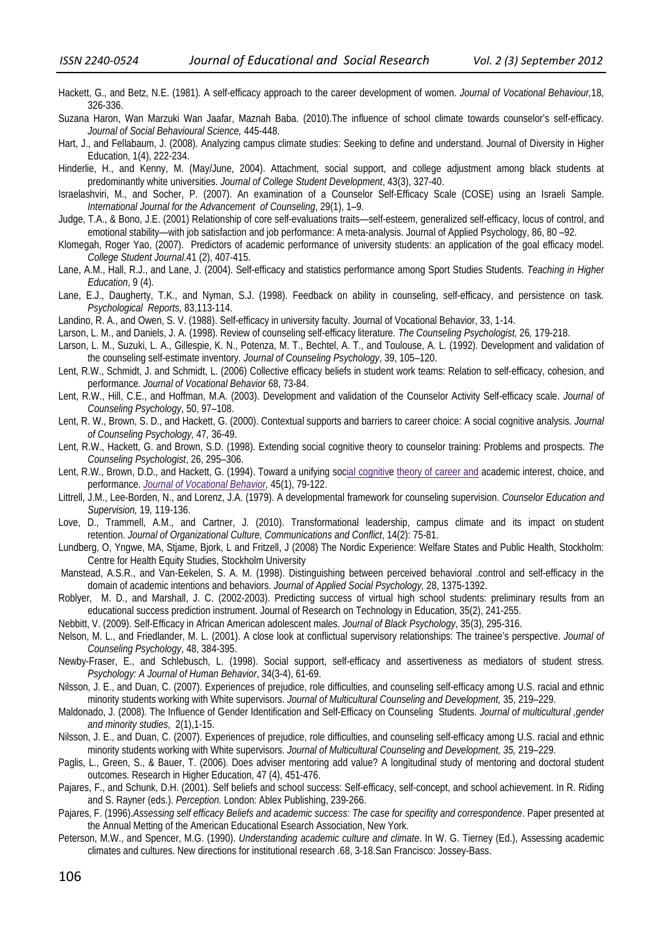- Hackett, G., and Betz, N.E. (1981). A self-efficacy approach to the career development of women. *Journal of Vocational Behaviour,*18, 326-336.
- Suzana Haron, Wan Marzuki Wan Jaafar, Maznah Baba. (2010).The influence of school climate towards counselor's self-efficacy. *Journal of Social Behavioural Science,* 445-448.
- Hart, J., and Fellabaum, J. (2008). Analyzing campus climate studies: Seeking to define and understand. Journal of Diversity in Higher Education, 1(4), 222-234.
- Hinderlie, H., and Kenny, M. (May/June, 2004). Attachment, social support, and college adjustment among black students at predominantly white universities. *Journal of College Student Development*, 43(3), 327-40.
- Israelashviri, M., and Socher, P. (2007). An examination of a Counselor Self-Efficacy Scale (COSE) using an Israeli Sample. *International Journal for the Advancement of Counseling*, 29(1), 1–9.
- Judge, T.A., & Bono, J.E. (2001) Relationship of core self-evaluations traits—self-esteem, generalized self-efficacy, locus of control, and emotional stability—with job satisfaction and job performance: A meta-analysis. Journal of Applied Psychology, 86, 80 –92.
- Klomegah, Roger Yao, (2007). Predictors of academic performance of university students: an application of the goal efficacy model. *College Student Journal*.41 (2), 407-415.
- Lane, A.M., Hall, R.J., and Lane, J. (2004). Self-efficacy and statistics performance among Sport Studies Students. *Teaching in Higher Education*, 9 (4).
- Lane, E.J., Daugherty, T.K., and Nyman, S.J. (1998). Feedback on ability in counseling, self-efficacy, and persistence on task. *Psychological Reports,* 83,113-114.
- Landino, R. A., and Owen, S. V. (1988). Self-efficacy in university faculty. Journal of Vocational Behavior, 33, 1-14.
- Larson, L. M., and Daniels, J. A. (1998). Review of counseling self-efficacy literature. *The Counseling Psychologist,* 26*,* 179-218.
- Larson, L. M., Suzuki, L. A., Gillespie, K. N., Potenza, M. T., Bechtel, A. T., and Toulouse, A. L. (1992). Development and validation of the counseling self-estimate inventory*. Journal of Counseling Psychology*, 39, 105–120.
- Lent, R.W., Schmidt, J. and Schmidt, L. (2006) Collective efficacy beliefs in student work teams: Relation to self-efficacy, cohesion, and performance*. Journal of Vocational Behavior* 68, 73-84.
- Lent, R.W., Hill, C.E., and Hoffman, M.A. (2003). Development and validation of the Counselor Activity Self-efficacy scale. *Journal of Counseling Psychology*, 50, 97–108.
- Lent, R. W., Brown, S. D., and Hackett, G. (2000). Contextual supports and barriers to career choice: A social cognitive analysis. *Journal of Counseling Psychology,* 47*,* 36-49.
- Lent, R.W., Hackett, G. and Brown, S.D. (1998). Extending social cognitive theory to counselor training: Problems and prospects. *The Counseling Psychologist*, 26, 295–306.
- Lent, R.W., Brown, D.D., and Hackett, G. (1994). Toward a unifying social cognitive theory of career and academic interest, choice, and performance. *Journal of Vocational Behavior,* 45(1), 79-122.
- Littrell, J.M., Lee-Borden, N., and Lorenz, J.A. (1979). A developmental framework for counseling supervision. *Counselor Education and Supervision,* 19*,* 119-136.
- Love, D., Trammell, A.M., and Cartner, J. (2010). Transformational leadership, campus climate and its impact on student retention. *Journal of Organizational Culture, Communications and Conflict*, 14(2): 75-81.
- Lundberg, O, Yngwe, MA, Stjame, Bjork, L and Fritzell, J (2008) The Nordic Experience: Welfare States and Public Health, Stockholm: Centre for Health Equity Studies, Stockholm University
- Manstead, A.S.R., and Van-Eekelen, S. A. M. (1998). Distinguishing between perceived behavioral .control and self-efficacy in the domain of academic intentions and behaviors. *Journal of Applied Social Psychology,* 28, 1375-1392.
- Roblyer, M. D., and Marshall, J. C. (2002-2003). Predicting success of virtual high school students: preliminary results from an educational success prediction instrument. Journal of Research on Technology in Education, 35(2), 241-255.
- Nebbitt, V. (2009). Self-Efficacy in African American adolescent males. *Journal of Black Psychology*, 35(3), 295-316.
- Nelson, M. L., and Friedlander, M. L. (2001). A close look at conflictual supervisory relationships: The trainee's perspective. *Journal of Counseling Psychology*, 48, 384-395.
- Newby-Fraser, E., and Schlebusch, L. (1998). Social support, self-efficacy and assertiveness as mediators of student stress. *Psychology: A Journal of Human Behavior*, 34(3-4), 61-69.
- Nilsson, J. E., and Duan, C. (2007). Experiences of prejudice, role difficulties, and counseling self-efficacy among U.S. racial and ethnic minority students working with White supervisors. *Journal of Multicultural Counseling and Development,* 35, 219–229.
- Maldonado, J. (2008). The Influence of Gender Identification and Self-Efficacy on Counseling Students. *Journal of multicultural ,gender and minority studies*, 2(1),1-15.
- Nilsson, J. E., and Duan, C. (2007). Experiences of prejudice, role difficulties, and counseling self-efficacy among U.S. racial and ethnic minority students working with White supervisors. *Journal of Multicultural Counseling and Development, 35,* 219–229.
- Paglis, L., Green, S., & Bauer, T. (2006). Does adviser mentoring add value? A longitudinal study of mentoring and doctoral student outcomes. Research in Higher Education, 47 (4), 451-476.
- Pajares, F., and Schunk, D.H. (2001). Self beliefs and school success: Self-efficacy, self-concept, and school achievement. In R. Riding and S. Rayner (eds.). *Perception.* London: Ablex Publishing, 239-266.
- Pajares, F. (1996).*Assessing self efficacy Beliefs and academic success: The case for specifity and correspondence*. Paper presented at the Annual Metting of the American Educational Esearch Association, New York.
- Peterson, M.W., and Spencer, M.G. (1990). *Understanding academic culture and climate*. In W. G. Tierney (Ed.), Assessing academic climates and cultures. New directions for institutional research .68, 3-18.San Francisco: Jossey-Bass.